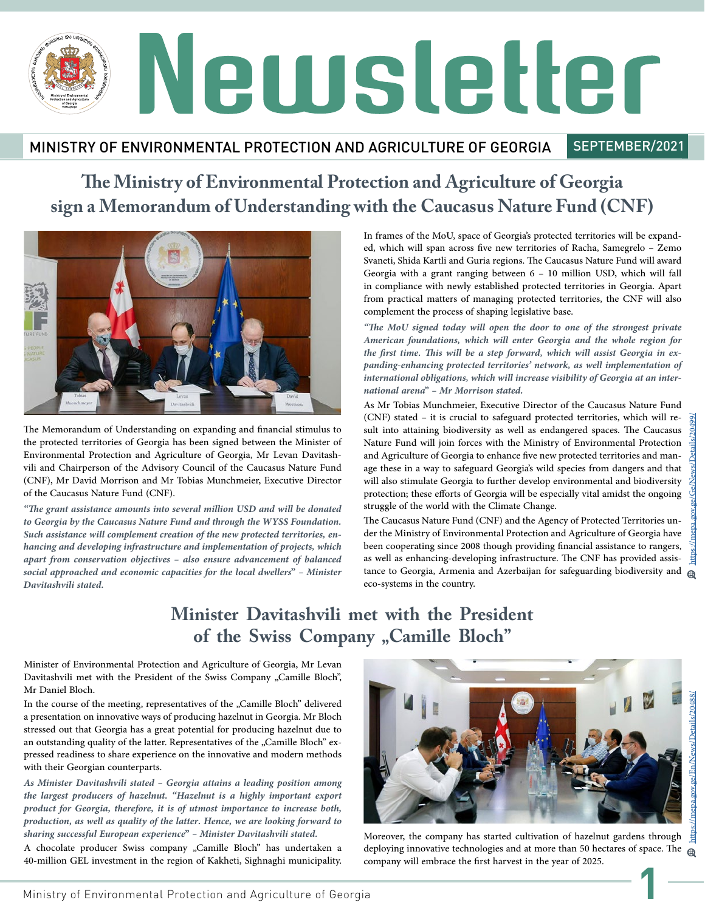### MINISTRY OF ENVIRONMENTAL PROTECTION AND AGRICULTURE OF GEORGIA

SEPTEMBER/2021

# **The Ministry of Environmental Protection and Agriculture of Georgia sign a Memorandum of Understanding with the Caucasus Nature Fund (CNF)**



The Memorandum of Understanding on expanding and financial stimulus to the protected territories of Georgia has been signed between the Minister of Environmental Protection and Agriculture of Georgia, Mr Levan Davitashvili and Chairperson of the Advisory Council of the Caucasus Nature Fund (CNF), Mr David Morrison and Mr Tobias Munchmeier, Executive Director of the Caucasus Nature Fund (CNF).

*"The grant assistance amounts into several million USD and will be donated to Georgia by the Caucasus Nature Fund and through the WYSS Foundation. Such assistance will complement creation of the new protected territories, en- hancing and developing infrastructure and implementation of projects, which apart from conservation objectives – also ensure advancement of balanced social approached and economic capacities for the local dwellers" – Minister Davitashvili stated.* 

In frames of the MoU, space of Georgia's protected territories will be expand- ed, which will span across five new territories of Racha, Samegrelo – Zemo Svaneti, Shida Kartli and Guria regions. The Caucasus Nature Fund will award Georgia with a grant ranging between 6 – 10 million USD, which will fall in compliance with newly established protected territories in Georgia. Apart from practical matters of managing protected territories, the CNF will also complement the process of shaping legislative base.

*"The MoU signed today will open the door to one of the strongest private American foundations, which will enter Georgia and the whole region for the first time. This will be a step forward, which will assist Georgia in exthe first time. This will be a step forward, which will assist Georgia in ex- panding-enhancing protected territories' network, as well implementation of international obligations, which will increase visibility of Georgia at an inter- national arena" – Mr Morrison stated.* 

As Mr Tobias Munchmeier, Executive Director of the Caucasus Nature Fund (CNF) stated – it is crucial to safeguard protected territories, which will re- sult into attaining biodiversity as well as endangered spaces. The Caucasus Nature Fund will join forces with the Ministry of Environmental Protection<br>and Agriculture of Georgia to enhance five new protected territories and manage these in a way to safeguard Georgia's wild species from dangers and that will also stimulate Georgia to further develop environmental and biodiversity protection; these efforts of Georgia will be especially vital amidst the ongoing struggle of the world with the Climate Change.

The Caucasus Nature Fund (CNF) and the Agency of Protected Territories un- der the Ministry of Environmental Protection and Agriculture of Georgia have been cooperating since 2008 though providing financial assistance to rangers, as well as enhancing-developing infrastructure. The CNF has provided assistance to Georgia, Armenia and Azerbaijan for safeguarding biodiversity and  $\oplus$ eco-systems in the country.

# **Minister Davitashvili met with the President**  of the Swiss Company "Camille Bloch"

Minister of Environmental Protection and Agriculture of Georgia, Mr Levan Davitashvili met with the President of the Swiss Company "Camille Bloch", Mr Daniel Bloch.

In the course of the meeting, representatives of the "Camille Bloch" delivered a presentation on innovative ways of producing hazelnut in Georgia. Mr Bloch stressed out that Georgia has a great potential for producing hazelnut due to<br>an outstanding quality of the latter. Representatives of the "Camille Bloch" expressed readiness to share experience on the innovative and modern methods with their Georgian counterparts.

*As Minister Davitashvili stated – Georgia attains a leading position among the largest producers of hazelnut. "Hazelnut is a highly important export product for Georgia, therefore, it is of utmost importance to increase both, production, as well as quality of the latter. Hence, we are looking forward to sharing successful European experience" – Minister Davitashvili stated.*

A chocolate producer Swiss company "Camille Bloch" has undertaken a 40-million GEL investment in the region of Kakheti, Sighnaghi municipality.



**1** Moreover, the company has started cultivation of hazelnut gardens through deploying innovative technologies and at more than 50 hectares of space. The  $_{\oplus}$ company will embrace the first harvest in the year of 2025.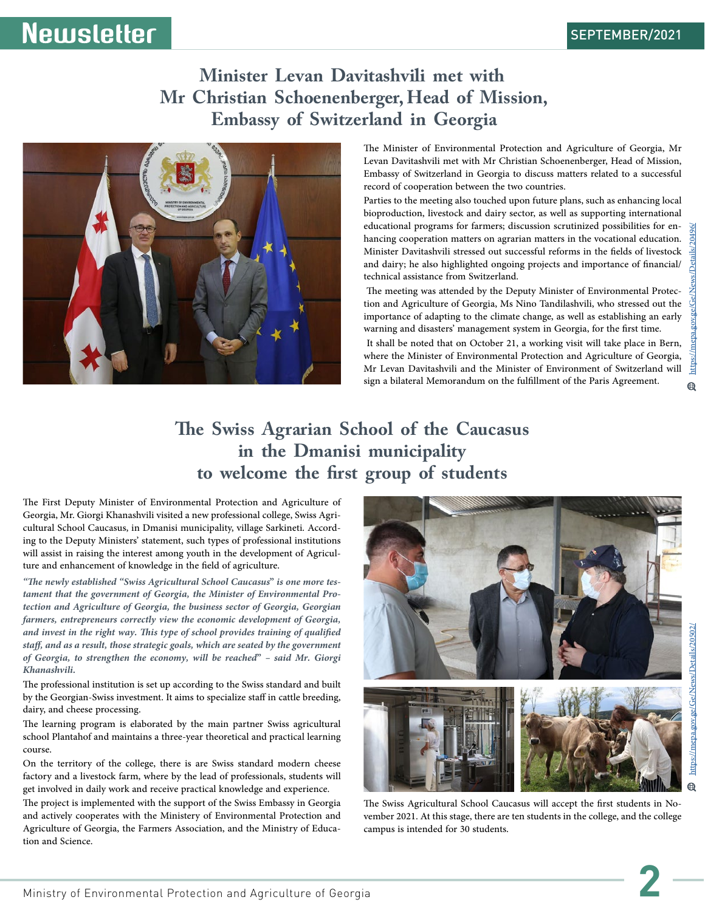# **Minister Levan Davitashvili met with Mr Christian Schoenenberger, Head of Mission, Embassy of Switzerland in Georgia**



**Newsletter** 

The Minister of Environmental Protection and Agriculture of Georgia, Mr Levan Davitashvili met with Mr Christian Schoenenberger, Head of Mission, Embassy of Switzerland in Georgia to discuss matters related to a successful record of cooperation between the two countries.

Parties to the meeting also touched upon future plans, such as enhancing local bioproduction, livestock and dairy sector, as well as supporting international educational programs for farmers; discussion scrutinized possibilities for en- hancing cooperation matters on agrarian matters in the vocational education. Minister Davitashvili stressed out successful reforms in the fields of livestock and dairy; he also highlighted ongoing projects and importance of financial/ technical assistance from Switzerland.

 The meeting was attended by the Deputy Minister of Environmental Protec- tion and Agriculture of Georgia, Ms Nino Tandilashvili, who stressed out the importance of adapting to the climate change, as well as establishing an early warning and disasters' management system in Georgia, for the first time.

 It shall be noted that on October 21, a working visit will take place in Bern, where the Minister of Environmental Protection and Agriculture of Georgia,  $https://$ Mr Levan Davitashvili and the Minister of Environment of Switzerland will sign a bilateral Memorandum on the fulfillment of the Paris Agreement.  $\bigoplus$ 

### **The Swiss Agrarian School of the Caucasus in the Dmanisi municipality to welcome the first group of students**

The First Deputy Minister of Environmental Protection and Agriculture of Georgia, Mr. Giorgi Khanashvili visited a new professional college, Swiss Agricultural School Caucasus, in Dmanisi municipality, village Sarkineti. According to the Deputy Ministers' statement, such types of professional i will assist in raising the interest among youth in the development of Agricul- ture and enhancement of knowledge in the field of agriculture.

"The newly established "Swiss Agricultural School Caucasus" is one more tes-<br>tament that the government of Georgia, the Minister of Environmental Pro-<br>tection and Agriculture of Georgia, the business sector of Georgia, Geo *farmers, entrepreneurs correctly view the economic development of Georgia, and invest in the right way. This type of school provides training of qualified staff, and as a result, those strategic goals, which are seated by the government of Georgia, to strengthen the economy, will be reached" – said Mr. Giorgi Khanashvili.*

The professional institution is set up according to the Swiss standard and built by the Georgian-Swiss investment. It aims to specialize staff in cattle breeding, dairy, and cheese processing.

The learning program is elaborated by the main partner Swiss agricultural school Plantahof and maintains a three-year theoretical and practical learning course.

On the territory of the college, there is are Swiss standard modern cheese factory and a livestock farm, where by the lead of professionals, students will get involved in daily work and receive practical knowledge and experience.

The project is implemented with the support of the Swiss Embassy in Georgia and actively cooperates with the Ministery of Environmental Protection and Agriculture of Georgia, the Farmers Association, and the Ministry of Educa- tion and Science.



https://mepa.gov.ge/Ge/News/Details/20496/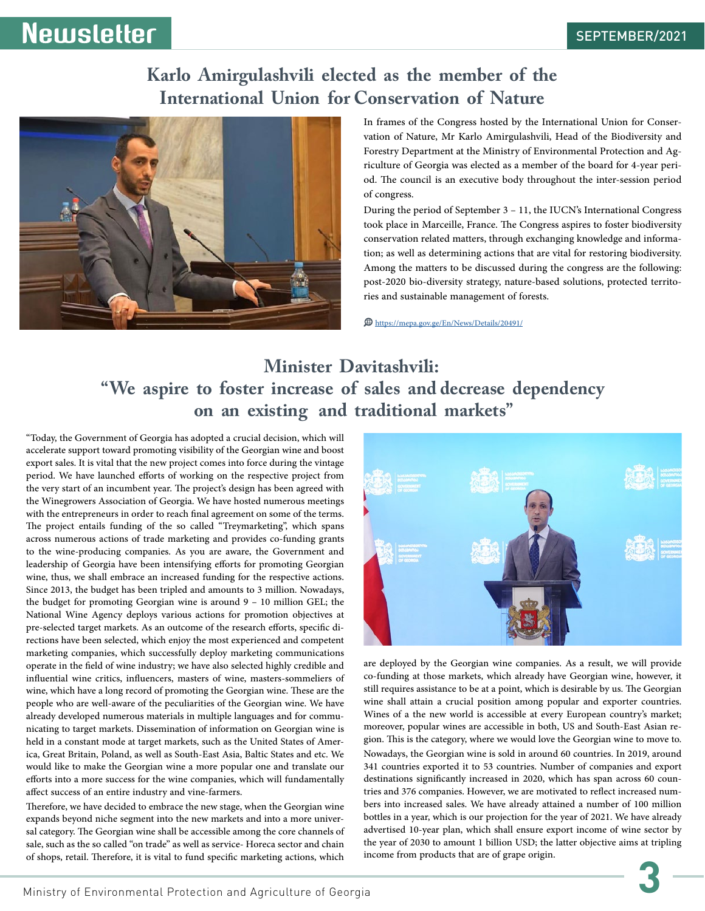### **Karlo Amirgulashvili elected as the member of the International Union for Conservation of Nature**



In frames of the Congress hosted by the International Union for Conservation of Nature, Mr Karlo Amirgulashvili, Head of the Biodiversity and Forestry Department at the Ministry of Environmental Protection and Agriculture of Georgia was elected as a member of the board for 4-year period. The council is an executive body throughout the inter-session period of congress.

During the period of September 3 – 11, the IUCN's International Congress took place in Marceille, France. The Congress aspires to foster biodiversity conservation related matters, through exchanging knowledge and information; as well as determining actions that are vital for restoring biodiversity. Among the matters to be discussed during the congress are the following: post-2020 bio-diversity strategy, nature-based solutions, protected territories and sustainable management of forests.

https://mepa.gov.ge/En/News/Details/20491/

# **Minister Davitashvili: "We aspire to foster increase of sales and decrease dependency on an existing and traditional markets"**

"Today, the Government of Georgia has adopted a crucial decision, which will accelerate support toward promoting visibility of the Georgian wine and boost export sales. It is vital that the new project comes into force during the vintage period. We have launched efforts of working on the respective project from the very start of an incumbent year. The project's design has been agreed with the Winegrowers Association of Georgia. We have hosted numerous meetings with the entrepreneurs in order to reach final agreement on some of the terms. The project entails funding of the so called "Treymarketing", which spans across numerous actions of trade marketing and provides co-funding grants to the wine-producing companies. As you are aware, the Government and leadership of Georgia have been intensifying efforts for promoting Georgian wine, thus, we shall embrace an increased funding for the respective actions. Since 2013, the budget has been tripled and amounts to 3 million. Nowadays, the budget for promoting Georgian wine is around 9 – 10 million GEL; the National Wine Agency deploys various actions for promotion objectives at pre-selected target markets. As an outcome of the research efforts, specific directions have been selected, which enjoy the most experienced and competent marketing companies, which successfully deploy marketing communications operate in the field of wine industry; we have also selected highly credible and influential wine critics, influencers, masters of wine, masters-sommeliers of wine, which have a long record of promoting the Georgian wine. These are the people who are well-aware of the peculiarities of the Georgian wine. We have already developed numerous materials in multiple languages and for communicating to target markets. Dissemination of information on Georgian wine is held in a constant mode at target markets, such as the United States of A ica, Great Britain, Poland, as well as South-East Asia, Baltic States and etc. We would like to make the Georgian wine a more popular one and translate our efforts into a more success for the wine companies, which will fundamentally affect success of an entire industry and vine-farmers.

Therefore, we have decided to embrace the new stage, when the Georgian wine expands beyond niche segment into the new markets and into a more universal category. The Georgian wine shall be accessible among the core channels of sale, such as the so called "on trade" as well as service- Horeca sector and chain of shops, retail. Therefore, it is vital to fund specific marketing actions, which



are deployed by the Georgian wine companies. As a result, we will provide co-funding at those markets, which already have Georgian wine, however, it still requires assistance to be at a point, which is desirable by us. The Georgian wine shall attain a crucial position among popular and exporter countries. Wines of a the new world is accessible at every European country's market; moreover, popular wines are accessible in both, US and South-East Asian re- gion. This is the category, where we would love the Georgian wine to move to. Nowadays, the Georgian wine is sold in around 60 countries. In 2019, around 341 countries exported it to 53 countries. Number of companies and export destinations significantly increased in 2020, which has span across 60 countries and 376 companies. However, we are motivated to reflect increased numbers into increased sales. We have already attained a number of 100 mill bottles in a year, which is our projection for the year of 2021. We have already advertised 10-year plan, which shall ensure export income of wine sector by the year of 2030 to amount 1 billion USD; the latter objective aims at tripling income from products that are of grape origin.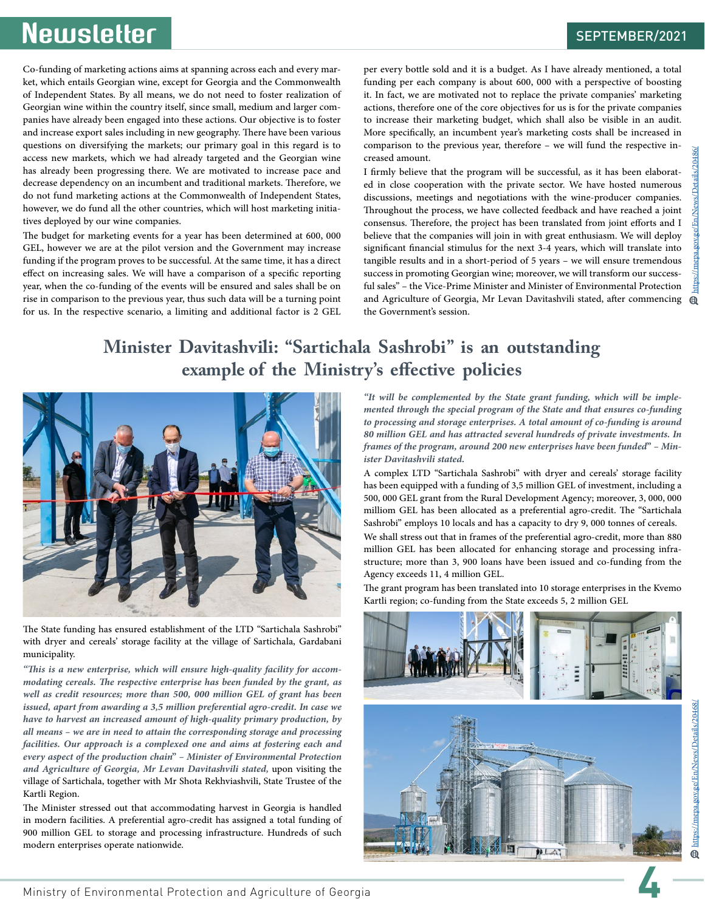https://mepa.gov.ge/En/News/Details/20486/

Co-funding of marketing actions aims at spanning across each and every mar- ket, which entails Georgian wine, except for Georgia and the Commonwealth of Independent States. By all means, we do not need to foster realization of panies have already been engaged into these actions. Our objective is to foster and increase export sales including in new geography. There have been various questions on diversifying the markets; our primary goal in this regard is to access new markets, which we had already targeted and the Georgian wine has already been progressing there. We are motivated to increase pace and decrease dependency on an incumbent and traditional markets. Therefore, we do not fund marketing actions at the Commonwealth of Independent States, however, we do fund all the other countries, which will host marketing initia- tives deployed by our wine companies.

The budget for marketing events for a year has been determined at 600, 000 GEL, however we are at the pilot version and the Government may increase funding if the program proves to be successful. At the same time, it has a direct effect on increasing sales. We will have a comparison of a specific reporting year, when the co-funding of the events will be ensured and sales shall be on rise in comparison to the previous year, thus such data will be a turning point for us. In the respective scenario, a limiting and additional factor is 2 GEL per every bottle sold and it is a budget. As I have already mentioned, a total funding per each company is about 600, 000 with a perspective of boosting it. In fact, we are motivated not to replace the private companies' marketing actions, therefore one of the core objectives for us is for the private companies to increase their marketing budget, which shall also be visible in an audit. More specifically, an incumbent year's marketing costs shall be increased in comparison to the previous year, therefore – we will fund the respective in-<br>creased amount.<br>I firmly believe that the program will be successful, as it has been elaborat-

ed in close cooperation with the private sector. We have hosted numerous discussions, meetings and negotiations with the wine-producer companies. Throughout the process, we have collected feedback and have reached a joint consensus. Therefore, the project has been translated from joint efforts and I believe that the companies will join in with great enthusiasm. We will deploy significant financial stimulus for the next 3-4 years, which will translate into tangible results and in a short-period of 5 years – we will ensure tremendous success in promoting Georgian wine; moreover, we will transform our successful sales" – the Vice-Prime Minister and Minister of Environmental Protection and Agriculture of Georgia, Mr Levan Davitashvili stated, after commencing  $\oplus$ the Government's session.

# **Minister Davitashvili: "Sartichala Sashrobi" is an outstanding example of the Ministry's effective policies**



The State funding has ensured establishment of the LTD "Sartichala Sashrobi" with dryer and cereals' storage facility at the village of Sartichala, Gardabani municipality.

*"This is a new enterprise, which will ensure high-quality facility for accom- modating cereals. The respective enterprise has been funded by the grant, as*  well as credit resources; more than 500, 000 million GEL of grant has been *issued, apart from awarding a 3,5 million preferential agro-credit. In case we have to harvest an increased amount of high-quality primary production, by all means – we are in need to attain the corresponding storage and processing facilities. Our approach is a complexed one and aims at fostering each and every aspect of the production chain" – Minister of Environmental Protection and Agriculture of Georgia, Mr Levan Davitashvili stated,* upon visiting the village of Sartichala, together with Mr Shota Rekhviashvili, State Trustee of the Kartli Region.

The Minister stressed out that accommodating harvest in Georgia is handled in modern facilities. A preferential agro-credit has assigned a total funding of 900 million GEL to storage and processing infrastructure. Hundreds of such modern enterprises operate nationwide.

*"It will be complemented by the State grant funding, which will be imple- mented through the special program of the State and that ensures co-funding to processing and storage enterprises. A total amount of co-funding is around 80 million GEL and has attracted several hundreds of private investments. In frames of the program, around 200 new enterprises have been funded" – Min- ister Davitashvili stated.*

A complex LTD "Sartichala Sashrobi" with dryer and cereals' storage facility has been equipped with a funding of 3,5 million GEL of investment, including a 500, 000 GEL grant from the Rural Development Agency; moreover, 3, 000, 000 milliom GEL has been allocated as a preferential agro-credit. The "Sartichala Sashrobi" employs 10 locals and has a capacity to dry 9, 000 tonnes of cereals. We shall stress out that in frames of the preferential agro-credit, more than 880 million GEL has been allocated for enhancing storage and processing infra- structure; more than 3, 900 loans have been issued and co-funding from the Agency exceeds 11, 4 million GEL.

The grant program has been translated into 10 storage enterprises in the Kvemo Kartli region; co-funding from the State exceeds 5, 2 million GEL

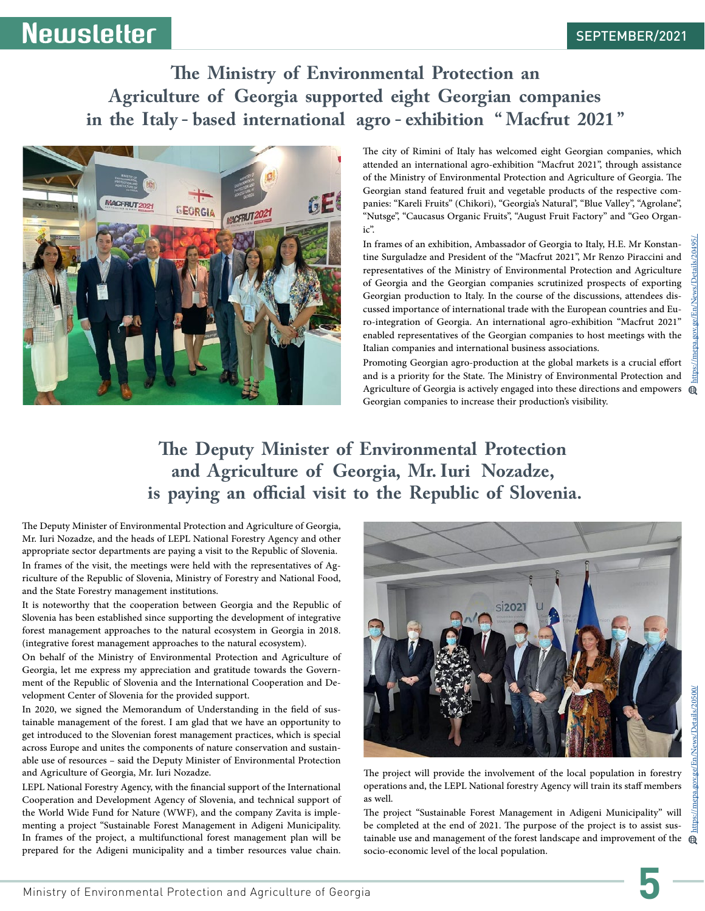# **The Ministry of Environmental Protection an Agriculture of Georgia supported eight Georgian companies in the Italy - based international agro - exhibition " Macfrut 2021 "**



The city of Rimini of Italy has welcomed eight Georgian companies, which attended an international agro-exhibition "Macfrut 2021", through assistance of the Ministry of Environmental Protection and Agriculture of Georgia. The Georgian stand featured fruit and vegetable products of the respective com- panies: "Kareli Fruits" (Chikori), "Georgia's Natural", "Blue Valley", "Agrolane", "Nutsge", "Caucasus Organic Fruits", "August Fruit Factory" and "Geo Organ- ic".

In frames of an exhibition, Ambassador of Georgia to Italy, H.E. Mr Konstan- tine Surguladze and President of the "Macfrut 2021", Mr Renzo Piraccini and representatives of the Ministry of Environmental Protection and Agriculture of Georgia and the Georgian companies scrutinized prospects of exporting cussed importance of international trade with the European countries and Euro-integration of Georgia. An international agro-exhibition "Macfrut 2021" enabled representatives of the Georgian companies to host meetings with the Italian companies and international business associations.

Promoting Georgian agro-production at the global markets is a crucial effort and is a priority for the State. The Ministry of Environmental Protection and Agriculture of Georgia is actively engaged into these directions and empowers  $\oplus$ Georgian companies to increase their production's visibility.

# **The Deputy Minister of Environmental Protection and Agriculture of Georgia, Mr. Iuri Nozadze, is paying an official visit to the Republic of Slovenia.**

The Deputy Minister of Environmental Protection and Agriculture of Georgia, Mr. Iuri Nozadze, and the heads of LEPL National Forestry Agency and other appropriate sector departments are paying a visit to the Republic of Slovenia. In frames of the visit, the meetings were held with the representatives of Ag- riculture of the Republic of Slovenia, Ministry of Forestry and National Food, and the State Forestry management institutions.

It is noteworthy that the cooperation between Georgia and the Republic of Slovenia has been established since supporting the development of integrative forest management approaches to the natural ecosystem in Georgia in 2018. (integrative forest management approaches to the natural ecosystem).

On behalf of the Ministry of Environmental Protection and Agriculture of Georgia, let me express my appreciation and gratitude towards the Govern- ment of the Republic of Slovenia and the International Cooperation and De- velopment Center of Slovenia for the provided support.

In 2020, we signed the Memorandum of Understanding in the field of sus- tainable management of the forest. I am glad that we have an opportunity to get introduced to the Slovenian forest management practices, which is special across Europe and unites the components of nature conservation and sustain- able use of resources – said the Deputy Minister of Environmental Protection and Agriculture of Georgia, Mr. Iuri Nozadze.

LEPL National Forestry Agency, with the financial support of the International Cooperation and Development Agency of Slovenia, and technical support of the World Wide Fund for Nature (WWF), and the company Zavita is imple- menting a project "Sustainable Forest Management in Adigeni Municipality. In frames of the project, a multifunctional forest management plan will be prepared for the Adigeni municipality and a timber resources value chain.



https://mepa.gov.ge/En/News/Details/20495/ https://mepa.gov.ge/En/News/Details/20500/ ws/Details/20500

The project will provide the involvement of the local population in forestry operations and, the LEPL National forestry Agency will train its staff members as well.

The project "Sustainable Forest Management in Adigeni Municipality" will tainable use and management of the forest landscape and improvement of the  $\oplus$ socio-economic level of the local population.